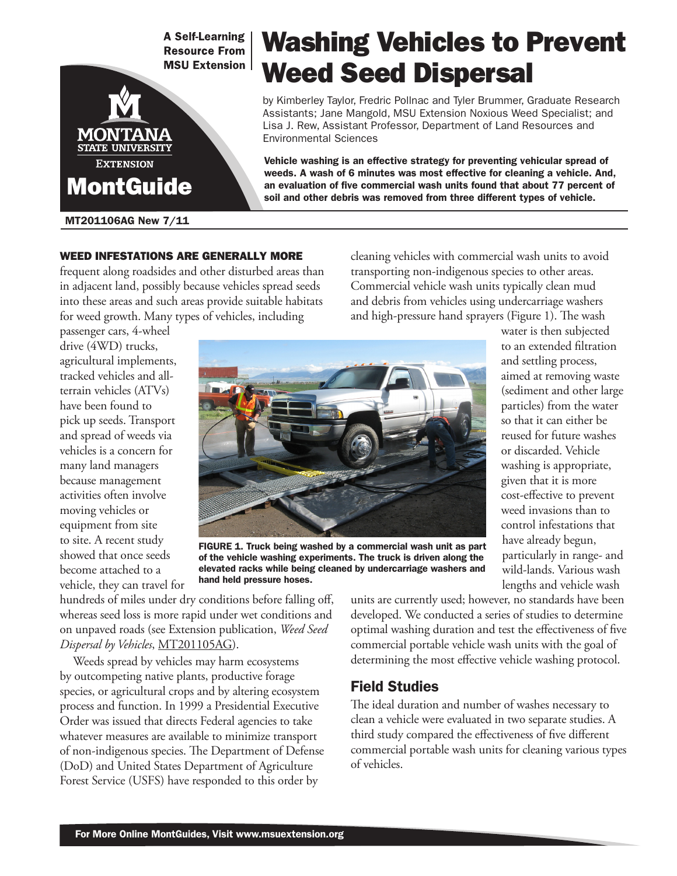**A Self-Learning Resource From MSU Extension** 



#### MT201106AG New 7/11

## WEED INFESTATIONS ARE GENERALLY MORE

frequent along roadsides and other disturbed areas than in adjacent land, possibly because vehicles spread seeds into these areas and such areas provide suitable habitats for weed growth. Many types of vehicles, including

cleaning vehicles with commercial wash units to avoid transporting non-indigenous species to other areas. Commercial vehicle wash units typically clean mud and debris from vehicles using undercarriage washers and high-pressure hand sprayers (Figure 1). The wash

Vehicle washing is an effective strategy for preventing vehicular spread of weeds. A wash of 6 minutes was most effective for cleaning a vehicle. And, an evaluation of five commercial wash units found that about 77 percent of soil and other debris was removed from three different types of vehicle.

Washing Vehicles to Prevent

by Kimberley Taylor, Fredric Pollnac and Tyler Brummer, Graduate Research Assistants; Jane Mangold, MSU Extension Noxious Weed Specialist; and Lisa J. Rew, Assistant Professor, Department of Land Resources and

Weed Seed Dispersal

passenger cars, 4-wheel drive (4WD) trucks, agricultural implements, tracked vehicles and allterrain vehicles (ATVs) have been found to pick up seeds. Transport and spread of weeds via vehicles is a concern for many land managers because management activities often involve moving vehicles or equipment from site to site. A recent study showed that once seeds become attached to a vehicle, they can travel for



Environmental Sciences

FIGURE 1. Truck being washed by a commercial wash unit as part of the vehicle washing experiments. The truck is driven along the elevated racks while being cleaned by undercarriage washers and hand held pressure hoses.

water is then subjected to an extended filtration and settling process, aimed at removing waste (sediment and other large particles) from the water so that it can either be reused for future washes or discarded. Vehicle washing is appropriate, given that it is more cost-effective to prevent weed invasions than to control infestations that have already begun, particularly in range- and wild-lands. Various wash lengths and vehicle wash

hundreds of miles under dry conditions before falling off, whereas seed loss is more rapid under wet conditions and on unpaved roads (see Extension publication, *Weed Seed Dispersal by Vehicles*, MT201105AG).

Weeds spread by vehicles may harm ecosystems by outcompeting native plants, productive forage species, or agricultural crops and by altering ecosystem process and function. In 1999 a Presidential Executive Order was issued that directs Federal agencies to take whatever measures are available to minimize transport of non-indigenous species. The Department of Defense (DoD) and United States Department of Agriculture Forest Service (USFS) have responded to this order by

units are currently used; however, no standards have been developed. We conducted a series of studies to determine optimal washing duration and test the effectiveness of five commercial portable vehicle wash units with the goal of determining the most effective vehicle washing protocol.

# Field Studies

The ideal duration and number of washes necessary to clean a vehicle were evaluated in two separate studies. A third study compared the effectiveness of five different commercial portable wash units for cleaning various types of vehicles.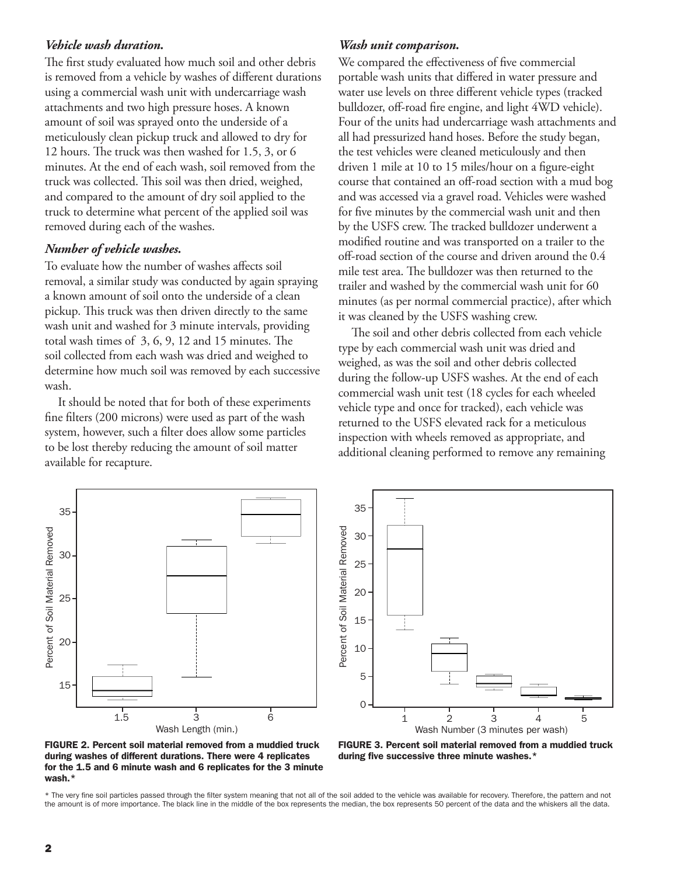## *Vehicle wash duration.*

The first study evaluated how much soil and other debris is removed from a vehicle by washes of different durations using a commercial wash unit with undercarriage wash attachments and two high pressure hoses. A known amount of soil was sprayed onto the underside of a meticulously clean pickup truck and allowed to dry for 12 hours. The truck was then washed for 1.5, 3, or 6 minutes. At the end of each wash, soil removed from the truck was collected. This soil was then dried, weighed, and compared to the amount of dry soil applied to the truck to determine what percent of the applied soil was removed during each of the washes.

## *Number of vehicle washes.*

To evaluate how the number of washes affects soil removal, a similar study was conducted by again spraying a known amount of soil onto the underside of a clean pickup. This truck was then driven directly to the same wash unit and washed for 3 minute intervals, providing total wash times of 3, 6, 9, 12 and 15 minutes. The soil collected from each wash was dried and weighed to determine how much soil was removed by each successive wash.

It should be noted that for both of these experiments fine filters (200 microns) were used as part of the wash system, however, such a filter does allow some particles to be lost thereby reducing the amount of soil matter available for recapture.

## *Wash unit comparison.*

We compared the effectiveness of five commercial portable wash units that differed in water pressure and water use levels on three different vehicle types (tracked bulldozer, off-road fire engine, and light 4WD vehicle). Four of the units had undercarriage wash attachments and all had pressurized hand hoses. Before the study began, the test vehicles were cleaned meticulously and then driven 1 mile at 10 to 15 miles/hour on a figure-eight course that contained an off-road section with a mud bog and was accessed via a gravel road. Vehicles were washed for five minutes by the commercial wash unit and then by the USFS crew. The tracked bulldozer underwent a modified routine and was transported on a trailer to the off-road section of the course and driven around the 0.4 mile test area. The bulldozer was then returned to the trailer and washed by the commercial wash unit for 60 minutes (as per normal commercial practice), after which it was cleaned by the USFS washing crew.

The soil and other debris collected from each vehicle type by each commercial wash unit was dried and weighed, as was the soil and other debris collected during the follow-up USFS washes. At the end of each commercial wash unit test (18 cycles for each wheeled vehicle type and once for tracked), each vehicle was returned to the USFS elevated rack for a meticulous inspection with wheels removed as appropriate, and additional cleaning performed to remove any remaining



FIGURE 2. Percent soil material removed from a muddied truck during washes of different durations. There were 4 replicates for the 1.5 and 6 minute wash and 6 replicates for the 3 minute wash.\*



\* The very fine soil particles passed through the filter system meaning that not all of the soil added to the vehicle was available for recovery. Therefore, the pattern and not the amount is of more importance. The black line in the middle of the box represents the median, the box represents 50 percent of the data and the whiskers all the data.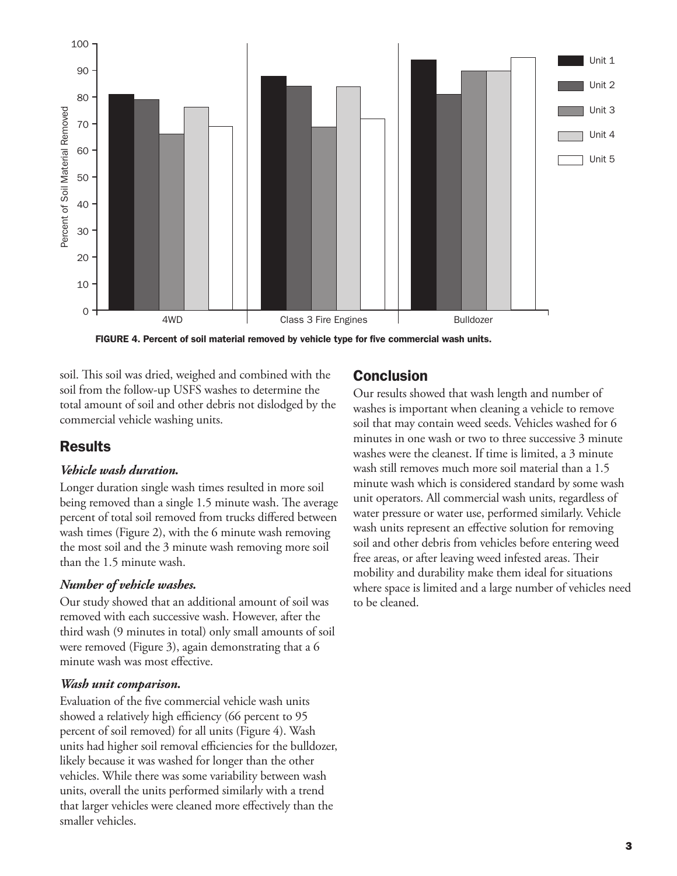

FIGURE 4. Percent of soil material removed by vehicle type for five commercial wash units.

soil. This soil was dried, weighed and combined with the soil from the follow-up USFS washes to determine the total amount of soil and other debris not dislodged by the commercial vehicle washing units.

# **Results**

## *Vehicle wash duration.*

Longer duration single wash times resulted in more soil being removed than a single 1.5 minute wash. The average percent of total soil removed from trucks differed between wash times (Figure 2), with the 6 minute wash removing the most soil and the 3 minute wash removing more soil than the 1.5 minute wash.

## *Number of vehicle washes.*

Our study showed that an additional amount of soil was removed with each successive wash. However, after the third wash (9 minutes in total) only small amounts of soil were removed (Figure 3), again demonstrating that a 6 minute wash was most effective.

## *Wash unit comparison.*

Evaluation of the five commercial vehicle wash units showed a relatively high efficiency (66 percent to 95 percent of soil removed) for all units (Figure 4). Wash units had higher soil removal efficiencies for the bulldozer, likely because it was washed for longer than the other vehicles. While there was some variability between wash units, overall the units performed similarly with a trend that larger vehicles were cleaned more effectively than the smaller vehicles.

# Conclusion

Our results showed that wash length and number of washes is important when cleaning a vehicle to remove soil that may contain weed seeds. Vehicles washed for 6 minutes in one wash or two to three successive 3 minute washes were the cleanest. If time is limited, a 3 minute wash still removes much more soil material than a 1.5 minute wash which is considered standard by some wash unit operators. All commercial wash units, regardless of water pressure or water use, performed similarly. Vehicle wash units represent an effective solution for removing soil and other debris from vehicles before entering weed free areas, or after leaving weed infested areas. Their mobility and durability make them ideal for situations where space is limited and a large number of vehicles need to be cleaned.